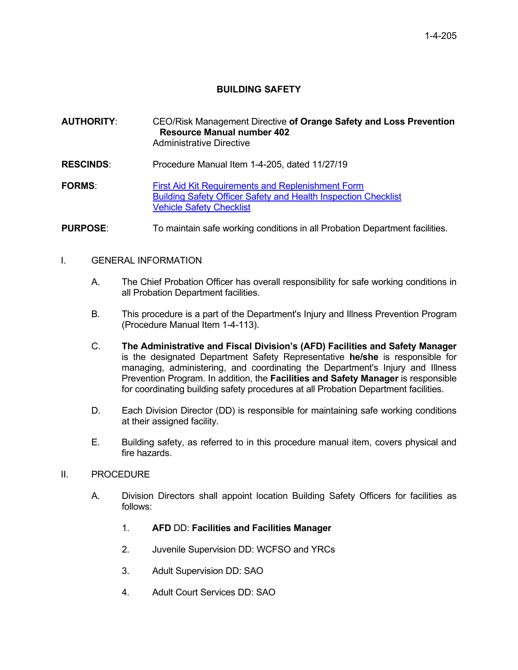# **BUILDING SAFETY**

# **AUTHORITY**: CEO/Risk Management Directive **of Orange Safety and Loss Prevention Resource Manual number 402** Administrative Directive

**RESCINDS**: Procedure Manual Item 1-4-205, dated 11/27/19

**FORMS:** First Aid Kit Requirements and Replenishment Form [Building Safety Officer Safety and Health Inspection Checklist](https://portal.prob.ocgoventerprise.com/Download/ProbNet/More%20on%20Safety%20Information_643/Building%20Safety%20Officer%20Safety%20and%20Health%20Inspection%20Checklist.docx) [Vehicle Safety Checklist](https://portal.prob.ocgoventerprise.com/Download/ProbNet/More%20on%20Safety%20Information_643/PMI%201-4-205%20Vehicle%20Safety%20Checklist.pdf)

**PURPOSE:** To maintain safe working conditions in all Probation Department facilities.

#### I. GENERAL INFORMATION

- A. The Chief Probation Officer has overall responsibility for safe working conditions in all Probation Department facilities.
- B. This procedure is a part of the Department's Injury and Illness Prevention Program (Procedure Manual Item 1-4-113).
- C. **The Administrative and Fiscal Division's (AFD) Facilities and Safety Manager** is the designated Department Safety Representative **he/she** is responsible for managing, administering, and coordinating the Department's Injury and Illness Prevention Program. In addition, the **Facilities and Safety Manager** is responsible for coordinating building safety procedures at all Probation Department facilities.
- D. Each Division Director (DD) is responsible for maintaining safe working conditions at their assigned facility.
- E. Building safety, as referred to in this procedure manual item, covers physical and fire hazards.

#### II. PROCEDURE

- A. Division Directors shall appoint location Building Safety Officers for facilities as follows:
	- 1. **AFD** DD: **Facilities and Facilities Manager**
	- 2. Juvenile Supervision DD: WCFSO and YRCs
	- 3. Adult Supervision DD: SAO
	- 4. Adult Court Services DD: SAO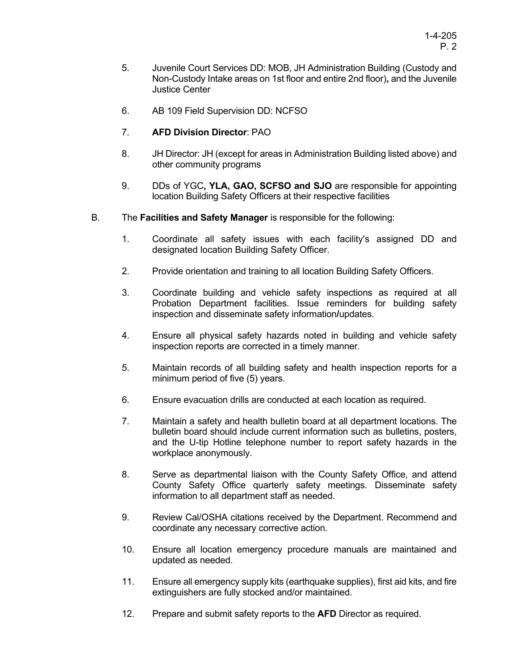- 5. Juvenile Court Services DD: MOB, JH Administration Building (Custody and Non-Custody Intake areas on 1st floor and entire 2nd floor)**,** and the Juvenile Justice Center
- 6. AB 109 Field Supervision DD: NCFSO
- 7. **AFD Division Director**: PAO
- 8. JH Director: JH (except for areas in Administration Building listed above) and other community programs
- 9. DDs of YGC**, YLA, GAO, SCFSO and SJO** are responsible for appointing location Building Safety Officers at their respective facilities
- B. The **Facilities and Safety Manager** is responsible for the following:
	- 1. Coordinate all safety issues with each facility's assigned DD and designated location Building Safety Officer.
	- 2. Provide orientation and training to all location Building Safety Officers.
	- 3. Coordinate building and vehicle safety inspections as required at all Probation Department facilities. Issue reminders for building safety inspection and disseminate safety information**/**updates.
	- 4. Ensure all physical safety hazards noted in building and vehicle safety inspection reports are corrected in a timely manner.
	- 5. Maintain records of all building safety and health inspection reports for a minimum period of five (5) years.
	- 6. Ensure evacuation drills are conducted at each location as required.
	- 7. Maintain a safety and health bulletin board at all department locations. The bulletin board should include current information such as bulletins, posters, and the U-tip Hotline telephone number to report safety hazards in the workplace anonymously.
	- 8. Serve as departmental liaison with the County Safety Office, and attend County Safety Office quarterly safety meetings. Disseminate safety information to all department staff as needed.
	- 9. Review Cal/OSHA citations received by the Department. Recommend and coordinate any necessary corrective action.
	- 10. Ensure all location emergency procedure manuals are maintained and updated as needed.
	- 11. Ensure all emergency supply kits (earthquake supplies), first aid kits, and fire extinguishers are fully stocked and/or maintained.
	- 12. Prepare and submit safety reports to the **AFD** Director as required.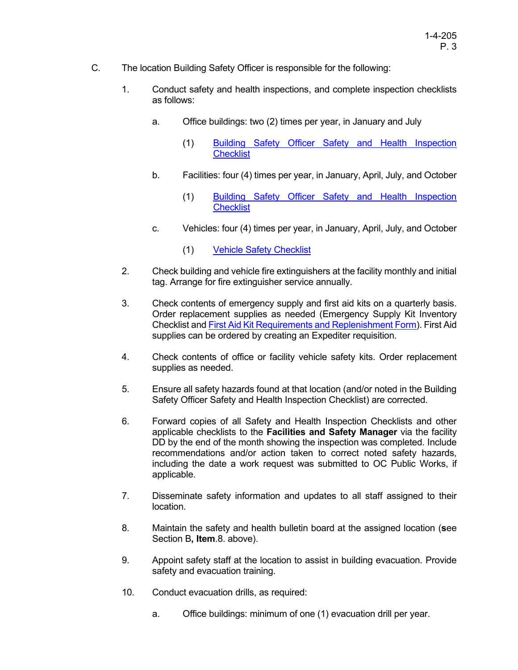- C. The location Building Safety Officer is responsible for the following:
	- 1. Conduct safety and health inspections, and complete inspection checklists as follows:
		- a. Office buildings: two (2) times per year, in January and July
			- (1) [Building Safety Officer Safety and Health Inspection](https://portal.prob.ocgoventerprise.com/Download/ProbNet/More%20on%20Safety%20Information_643/Building%20Safety%20Officer%20Safety%20and%20Health%20Inspection%20Checklist.docx)  **[Checklist](https://portal.prob.ocgoventerprise.com/Download/ProbNet/More%20on%20Safety%20Information_643/Building%20Safety%20Officer%20Safety%20and%20Health%20Inspection%20Checklist.docx)**
		- b. Facilities: four (4) times per year, in January, April, July, and October
			- (1) [Building Safety Officer Safety and Health Inspection](https://portal.prob.ocgoventerprise.com/Download/ProbNet/More%20on%20Safety%20Information_643/Building%20Safety%20Officer%20Safety%20and%20Health%20Inspection%20Checklist.docx)  **[Checklist](https://portal.prob.ocgoventerprise.com/Download/ProbNet/More%20on%20Safety%20Information_643/Building%20Safety%20Officer%20Safety%20and%20Health%20Inspection%20Checklist.docx)**
		- c. Vehicles: four (4) times per year, in January, April, July, and October
			- (1) [Vehicle Safety Checklist](https://portal.prob.ocgoventerprise.com/Download/ProbNet/More%20on%20Safety%20Information_643/PMI%201-4-205%20Vehicle%20Safety%20Checklist.pdf)
	- 2. Check building and vehicle fire extinguishers at the facility monthly and initial tag. Arrange for fire extinguisher service annually.
	- 3. Check contents of emergency supply and first aid kits on a quarterly basis. Order replacement supplies as needed (Emergency Supply Kit Inventory Checklist an[d First Aid Kit Requirements and Replenishment Form\)](https://portal.prob.ocgoventerprise.com/Download/ProbNet/More%20on%20Safety%20Information_643/First%20Aid%20Kit%20Requirements%20and%20Replenishment%20Form.pdf). First Aid supplies can be ordered by creating an Expediter requisition.
	- 4. Check contents of office or facility vehicle safety kits. Order replacement supplies as needed.
	- 5. Ensure all safety hazards found at that location (and/or noted in the Building Safety Officer Safety and Health Inspection Checklist) are corrected.
	- 6. Forward copies of all Safety and Health Inspection Checklists and other applicable checklists to the **Facilities and Safety Manager** via the facility DD by the end of the month showing the inspection was completed. Include recommendations and/or action taken to correct noted safety hazards, including the date a work request was submitted to OC Public Works, if applicable.
	- 7. Disseminate safety information and updates to all staff assigned to their location.
	- 8. Maintain the safety and health bulletin board at the assigned location (**s**ee Section B**, Item**.8. above).
	- 9. Appoint safety staff at the location to assist in building evacuation. Provide safety and evacuation training.
	- 10. Conduct evacuation drills, as required:
		- a. Office buildings: minimum of one (1) evacuation drill per year.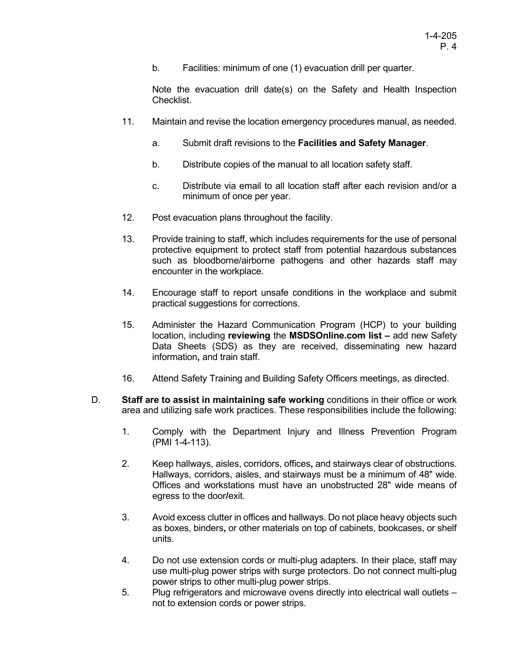b. Facilities: minimum of one (1) evacuation drill per quarter.

Note the evacuation drill date(s) on the Safety and Health Inspection Checklist.

- 11. Maintain and revise the location emergency procedures manual, as needed.
	- a. Submit draft revisions to the **Facilities and Safety Manager**.
	- b. Distribute copies of the manual to all location safety staff.
	- c. Distribute via email to all location staff after each revision and/or a minimum of once per year.
- 12. Post evacuation plans throughout the facility.
- 13. Provide training to staff, which includes requirements for the use of personal protective equipment to protect staff from potential hazardous substances such as bloodborne/airborne pathogens and other hazards staff may encounter in the workplace.
- 14. Encourage staff to report unsafe conditions in the workplace and submit practical suggestions for corrections.
- 15. Administer the Hazard Communication Program (HCP) to your building location, including **reviewing** the **MSDSOnline.com list –** add new Safety Data Sheets (SDS) as they are received, disseminating new hazard information**,** and train staff.
- 16. Attend Safety Training and Building Safety Officers meetings, as directed.
- D. **Staff are to assist in maintaining safe working** conditions in their office or work area and utilizing safe work practices. These responsibilities include the following:
	- 1. Comply with the Department Injury and Illness Prevention Program (PMI 1-4-113).
	- 2. Keep hallways, aisles, corridors, offices**,** and stairways clear of obstructions. Hallways, corridors, aisles, and stairways must be a minimum of 48" wide. Offices and workstations must have an unobstructed 28" wide means of egress to the door**/**exit.
	- 3. Avoid excess clutter in offices and hallways. Do not place heavy objects such as boxes, binders**,** or other materials on top of cabinets, bookcases, or shelf units.
	- 4. Do not use extension cords or multi-plug adapters. In their place, staff may use multi-plug power strips with surge protectors. Do not connect multi-plug power strips to other multi-plug power strips.
	- 5. Plug refrigerators and microwave ovens directly into electrical wall outlets not to extension cords or power strips.